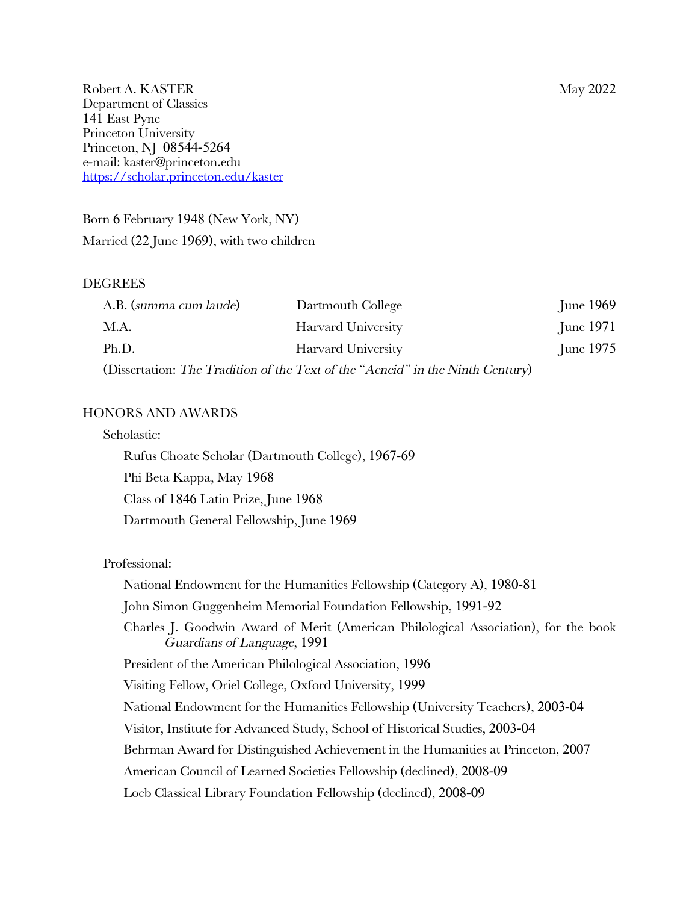Robert A. KASTER May 2022 Department of Classics 141 East Pyne Princeton University Princeton, NJ 08544-5264 e-mail: kaster@princeton.edu https://scholar.princeton.edu/kaster

Born 6 February 1948 (New York, NY) Married (22 June 1969), with two children

#### **DEGREES**

| A.B. (summa cum laude)                                                         | Dartmouth College  | June 1969        |
|--------------------------------------------------------------------------------|--------------------|------------------|
| M.A.                                                                           | Harvard University | June 1971        |
| Ph.D.                                                                          | Harvard University | <b>June 1975</b> |
| (Dissertation: The Tradition of the Text of the "Aeneid" in the Ninth Century) |                    |                  |

#### HONORS AND AWARDS

Scholastic:

Rufus Choate Scholar (Dartmouth College), 1967-69 Phi Beta Kappa, May 1968 Class of 1846 Latin Prize, June 1968 Dartmouth General Fellowship, June 1969

#### Professional:

National Endowment for the Humanities Fellowship (Category A), 1980-81 John Simon Guggenheim Memorial Foundation Fellowship, 1991-92 Charles J. Goodwin Award of Merit (American Philological Association), for the book *Guardians of Language*, 1991 President of the American Philological Association, 1996 Visiting Fellow, Oriel College, Oxford University, 1999 National Endowment for the Humanities Fellowship (University Teachers), 2003-04 Visitor, Institute for Advanced Study, School of Historical Studies, 2003-04 Behrman Award for Distinguished Achievement in the Humanities at Princeton, 2007 American Council of Learned Societies Fellowship (declined), 2008-09 Loeb Classical Library Foundation Fellowship (declined), 2008-09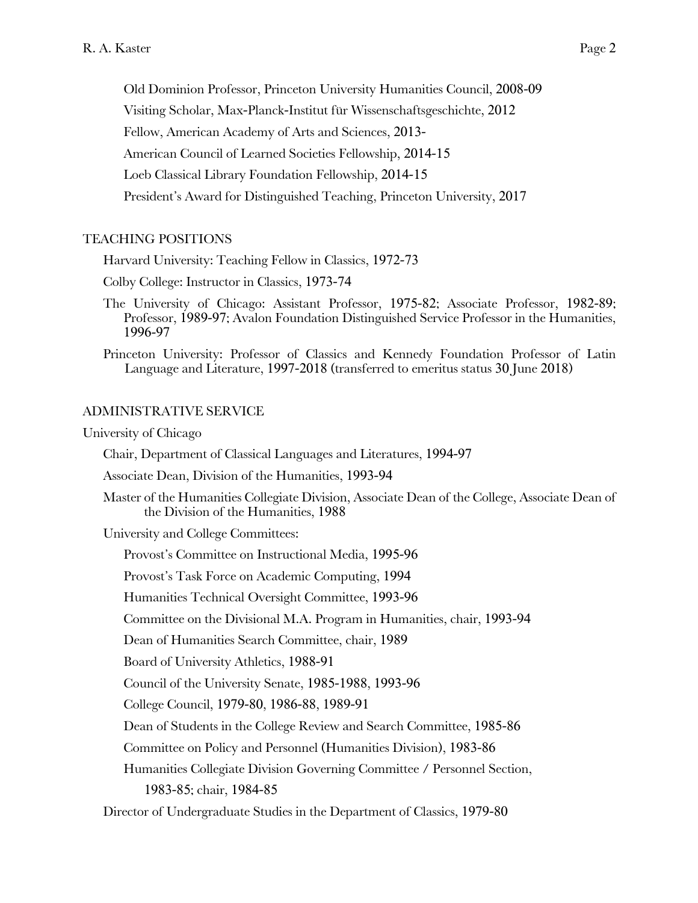Old Dominion Professor, Princeton University Humanities Council, 2008-09

Visiting Scholar, Max-Planck-Institut für Wissenschaftsgeschichte, 2012

Fellow, American Academy of Arts and Sciences, 2013-

American Council of Learned Societies Fellowship, 2014-15

Loeb Classical Library Foundation Fellowship, 2014-15

President's Award for Distinguished Teaching, Princeton University, 2017

# TEACHING POSITIONS

Harvard University: Teaching Fellow in Classics, 1972-73

Colby College: Instructor in Classics, 1973-74

The University of Chicago: Assistant Professor, 1975-82; Associate Professor, 1982-89; Professor, 1989-97; Avalon Foundation Distinguished Service Professor in the Humanities, 1996-97

Princeton University: Professor of Classics and Kennedy Foundation Professor of Latin Language and Literature, 1997-2018 (transferred to emeritus status 30 June 2018)

### ADMINISTRATIVE SERVICE

University of Chicago

Chair, Department of Classical Languages and Literatures, 1994-97

Associate Dean, Division of the Humanities, 1993-94

Master of the Humanities Collegiate Division, Associate Dean of the College, Associate Dean of the Division of the Humanities, 1988

University and College Committees:

Provost's Committee on Instructional Media, 1995-96

Provost's Task Force on Academic Computing, 1994

Humanities Technical Oversight Committee, 1993-96

Committee on the Divisional M.A. Program in Humanities, chair, 1993-94

Dean of Humanities Search Committee, chair, 1989

Board of University Athletics, 1988-91

Council of the University Senate, 1985-1988, 1993-96

College Council, 1979-80, 1986-88, 1989-91

Dean of Students in the College Review and Search Committee, 1985-86

Committee on Policy and Personnel (Humanities Division), 1983-86

Humanities Collegiate Division Governing Committee / Personnel Section,

1983-85; chair, 1984-85

Director of Undergraduate Studies in the Department of Classics, 1979-80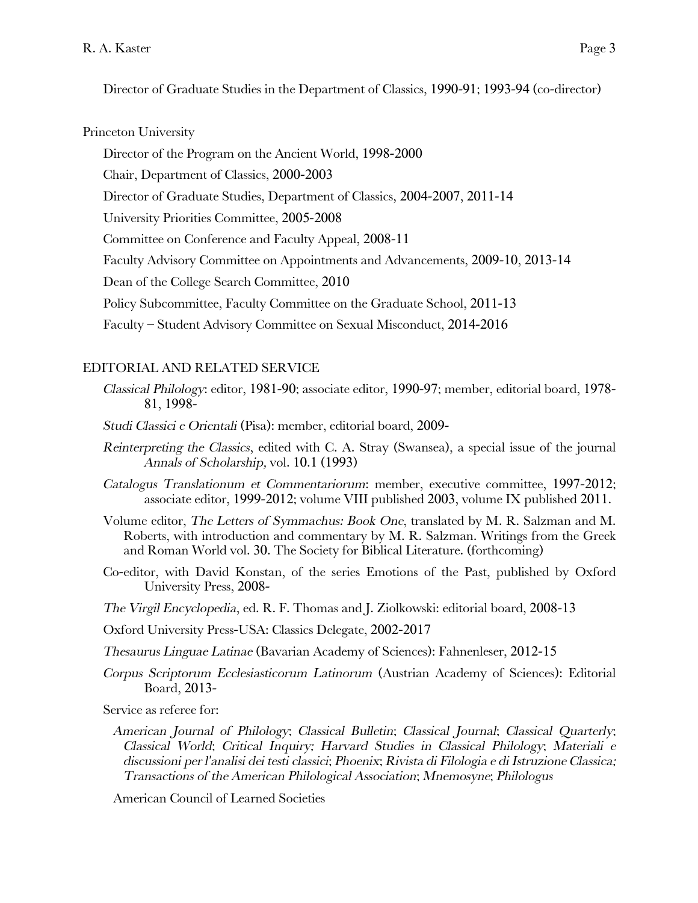Director of Graduate Studies in the Department of Classics, 1990-91; 1993-94 (co-director)

Princeton University

Director of the Program on the Ancient World, 1998-2000

Chair, Department of Classics, 2000-2003

Director of Graduate Studies, Department of Classics, 2004-2007, 2011-14

University Priorities Committee, 2005-2008

Committee on Conference and Faculty Appeal, 2008-11

Faculty Advisory Committee on Appointments and Advancements, 2009-10, 2013-14

Dean of the College Search Committee, 2010

Policy Subcommittee, Faculty Committee on the Graduate School, 2011-13

Faculty – Student Advisory Committee on Sexual Misconduct, 2014-2016

# EDITORIAL AND RELATED SERVICE

- *Classical Philology*: editor, 1981-90; associate editor, 1990-97; member, editorial board, 1978- 81, 1998-
- *Studi Classici e Orientali* (Pisa): member, editorial board, 2009-
- *Reinterpreting the Classics*, edited with C. A. Stray (Swansea), a special issue of the journal *Annals of Scholarship,* vol. 10.1 (1993)
- *Catalogus Translationum et Commentariorum*: member, executive committee, 1997-2012; associate editor, 1999-2012; volume VIII published 2003, volume IX published 2011.
- Volume editor, *The Letters of Symmachus: Book One*, translated by M. R. Salzman and M. Roberts, with introduction and commentary by M. R. Salzman. Writings from the Greek and Roman World vol. 30. The Society for Biblical Literature. (forthcoming)
- Co-editor, with David Konstan, of the series Emotions of the Past, published by Oxford University Press, 2008-
- *The Virgil Encyclopedia*, ed. R. F. Thomas and J. Ziolkowski: editorial board, 2008-13
- Oxford University Press-USA: Classics Delegate, 2002-2017
- *Thesaurus Linguae Latinae* (Bavarian Academy of Sciences): Fahnenleser, 2012-15
- *Corpus Scriptorum Ecclesiasticorum Latinorum* (Austrian Academy of Sciences): Editorial Board, 2013-

Service as referee for:

*American Journal of Philology*; *Classical Bulletin*; *Classical Journal*; *Classical Quarterly*; *Classical World*; *Critical Inquiry; Harvard Studies in Classical Philology*; *Materiali e discussioni per l'analisi dei testi classici*; *Phoenix*; *Rivista di Filologia e di Istruzione Classica; Transactions of the American Philological Association*; *Mnemosyne*; *Philologus*

American Council of Learned Societies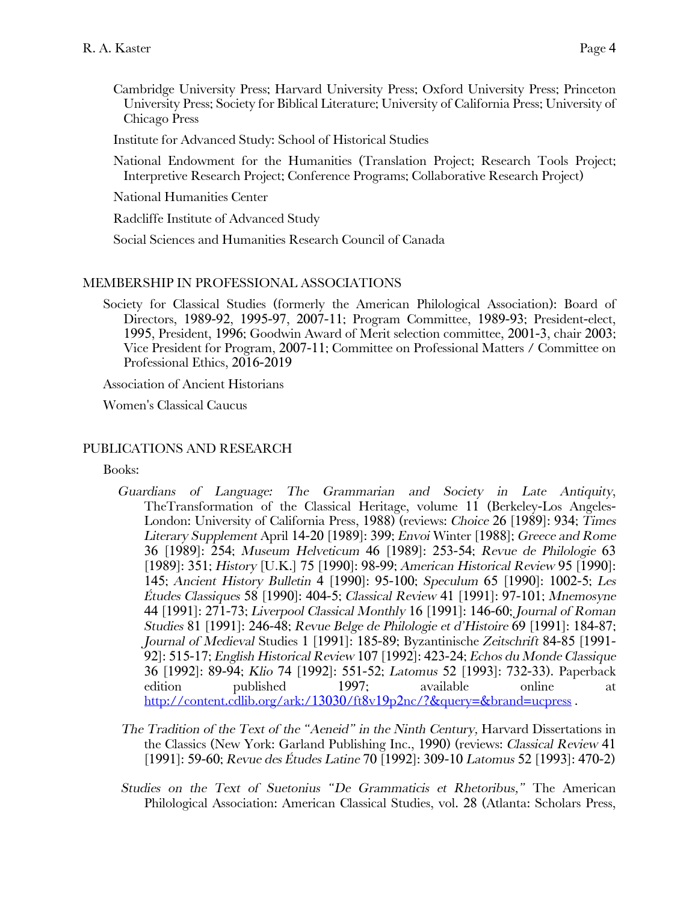- Cambridge University Press; Harvard University Press; Oxford University Press; Princeton University Press; Society for Biblical Literature; University of California Press; University of Chicago Press
- Institute for Advanced Study: School of Historical Studies

National Endowment for the Humanities (Translation Project; Research Tools Project; Interpretive Research Project; Conference Programs; Collaborative Research Project)

National Humanities Center

Radcliffe Institute of Advanced Study

Social Sciences and Humanities Research Council of Canada

# MEMBERSHIP IN PROFESSIONAL ASSOCIATIONS

Society for Classical Studies (formerly the American Philological Association): Board of Directors, 1989-92, 1995-97, 2007-11; Program Committee, 1989-93; President-elect, 1995, President, 1996; Goodwin Award of Merit selection committee, 2001-3, chair 2003; Vice President for Program, 2007-11; Committee on Professional Matters / Committee on Professional Ethics, 2016-2019

Association of Ancient Historians

Women's Classical Caucus

### PUBLICATIONS AND RESEARCH

Books:

- *Guardians of Language: The Grammarian and Society in Late Antiquity*, TheTransformation of the Classical Heritage, volume 11 (Berkeley-Los Angeles-London: University of California Press, 1988) (reviews: *Choice* 26 [1989]: 934; *Times Literary Supplement* April 14-20 [1989]: 399; *Envoi* Winter [1988]; *Greece and Rome* 36 [1989]: 254; *Museum Helveticum* 46 [1989]: 253-54; *Revue de Philologie* 63 [1989]: 351; *History* [U.K.] 75 [1990]: 98-99; *American Historical Review* 95 [1990]: 145; *Ancient History Bulletin* 4 [1990]: 95-100; *Speculum* 65 [1990]: 1002-5; *Les Études Classiques* 58 [1990]: 404-5; *Classical Review* 41 [1991]: 97-101; *Mnemosyne*  44 [1991]: 271-73; *Liverpool Classical Monthly* 16 [1991]: 146-60; *Journal of Roman Studies* 81 [1991]: 246-48; *Revue Belge de Philologie et d'Histoire* 69 [1991]: 184-87; *Journal of Medieval* Studies 1 [1991]: 185-89; Byzantinische *Zeitschrift* 84-85 [1991- 92]: 515-17; *English Historical Review* 107 [1992]: 423-24; *Echos du Monde Classique*  36 [1992]: 89-94; *Klio* 74 [1992]: 551-52; *Latomus* 52 [1993]: 732-33). Paperback edition published 1997; available online at http://content.cdlib.org/ark:/13030/ft8v19p2nc/?&query=&brand=ucpress.
- The Tradition of the Text of the "Aeneid" in the Ninth Century, Harvard Dissertations in the Classics (New York: Garland Publishing Inc., 1990) (reviews: *Classical Review* 41 [1991]: 59-60; *Revue des Études Latine* 70 [1992]: 309-10 *Latomus* 52 [1993]: 470-2)
- *Studies on the Text of Suetonius "De Grammaticis et Rhetoribus,"* The American Philological Association: American Classical Studies, vol. 28 (Atlanta: Scholars Press,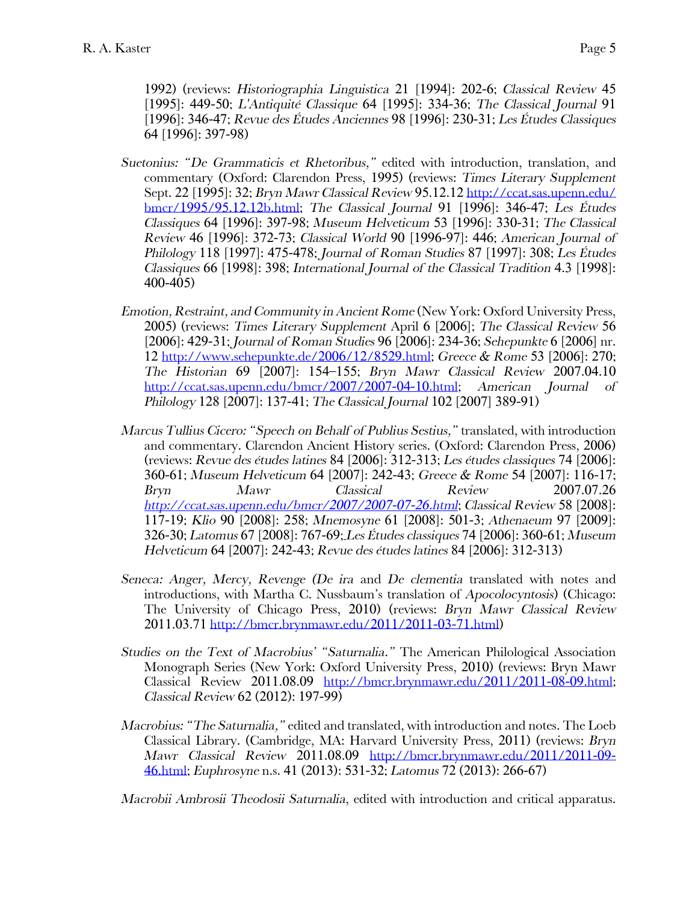1992) (reviews: *Historiographia Linguistica* 21 [1994]: 202-6; *Classical Review* 45 [1995]: 449-50; *L'Antiquité Classique* 64 [1995]: 334-36; *The Classical Journal* 91 [1996]: 346-47; *Revue des Études Anciennes* 98 [1996]: 230-31; *Les Études Classiques* 64 [1996]: 397-98)

- *Suetonius: "De Grammaticis et Rhetoribus,"* edited with introduction, translation, and commentary (Oxford: Clarendon Press, 1995) (reviews: *Times Literary Supplement* Sept. 22 [1995]: 32; *Bryn Mawr Classical Review* 95.12.12 http://ccat.sas.upenn.edu/ bmcr/1995/95.12.12b.html; *The Classical Journal* 91 [1996]: 346-47; *Les Études Classiques* 64 [1996]: 397-98; *Museum Helveticum* 53 [1996]: 330-31; *The Classical Review* 46 [1996]: 372-73; *Classical World* 90 [1996-97]: 446; *American Journal of Philology* 118 [1997]: 475-478; *Journal of Roman Studies* 87 [1997]: 308; *Les Études Classiques* 66 [1998]: 398; *International Journal of the Classical Tradition* 4.3 [1998]: 400-405)
- *Emotion, Restraint, and Community in Ancient Rome* (New York: Oxford University Press, 2005) (reviews: *Times Literary Supplement* April 6 [2006]; *The Classical Review* 56 [2006]: 429-31; *Journal of Roman Studies* 96 [2006]: 234-36; *Sehepunkte* 6 [2006] nr. 12 http://www.sehepunkte.de/2006/12/8529.html; *Greece & Rome* 53 [2006]: 270; *The Historian* 69 [2007]: 154–155; *Bryn Mawr Classical Review* 2007.04.10 http://ccat.sas.upenn.edu/bmcr/2007/2007-04-10.html; *American Journal of Philology* 128 [2007]: 137-41; *The Classical Journal* 102 [2007] 389-91)
- *Marcus Tullius Cicero: "Speech on Behalf of Publius Sestius,"* translated, with introduction and commentary. Clarendon Ancient History series. (Oxford: Clarendon Press, 2006) (reviews: *Revue des études latines* 84 [2006]: 312-313; *Les études classiques* 74 [2006]: 360-61; *Museum Helveticum* 64 [2007]: 242-43; *Greece & Rome* 54 [2007]: 116-17; *Bryn Mawr Classical Review* 2007.07.26 *http://ccat.sas.upenn.edu/bmcr/2007/2007-07-26.html*; *Classical Review* 58 [2008]: 117-19; *Klio* 90 [2008]: 258; *Mnemosyne* 61 [2008]: 501-3; *Athenaeum* 97 [2009]: 326-30; *Latomus* 67 [2008]: 767-69; *Les Études classiques* 74 [2006]: 360-61; *Museum Helveticum* 64 [2007]: 242-43; *Revue des études latines* 84 [2006]: 312-313)
- *Seneca: Anger, Mercy, Revenge (De ira* and *De clementia* translated with notes and introductions, with Martha C. Nussbaum's translation of *Apocolocyntosis*) (Chicago: The University of Chicago Press, 2010) (reviews: *Bryn Mawr Classical Review* 2011.03.71 http://bmcr.brynmawr.edu/2011/2011-03-71.html)
- *Studies on the Text of Macrobius' "Saturnalia."* The American Philological Association Monograph Series (New York: Oxford University Press, 2010) (reviews: Bryn Mawr Classical Review 2011.08.09 http://bmcr.brynmawr.edu/2011/2011-08-09.html; *Classical Review* 62 (2012): 197-99)
- *Macrobius: "The Saturnalia,"* edited and translated, with introduction and notes. The Loeb Classical Library. (Cambridge, MA: Harvard University Press, 2011) (reviews: *Bryn Mawr Classical Review* 2011.08.09 http://bmcr.brynmawr.edu/2011/2011-09- 46.html; *Euphrosyne* n.s. 41 (2013): 531-32; *Latomus* 72 (2013): 266-67)

*Macrobii Ambrosii Theodosii Saturnalia*, edited with introduction and critical apparatus.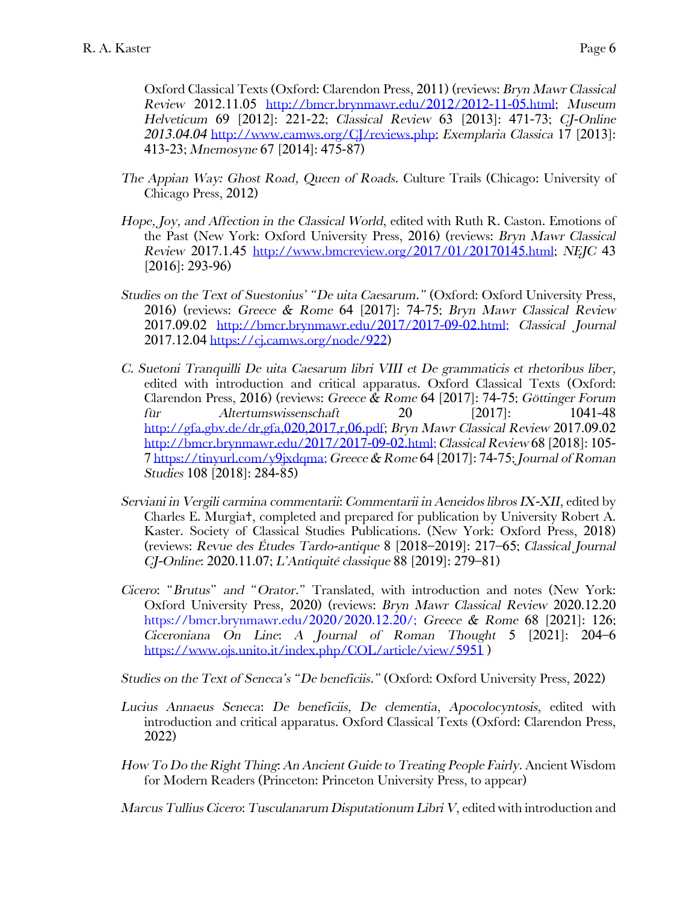Oxford Classical Texts (Oxford: Clarendon Press, 2011) (reviews: *Bryn Mawr Classical Review* 2012.11.05 http://bmcr.brynmawr.edu/2012/2012-11-05.html; *Museum Helveticum* 69 [2012]: 221-22; *Classical Review* 63 [2013]: 471-73; *CJ-Online 2013.04.04* http://www.camws.org/CJ/reviews.php; *Exemplaria Classica* 17 [2013]: 413-23; *Mnemosyne* 67 [2014]: 475-87)

- *The Appian Way: Ghost Road, Queen of Roads*. Culture Trails (Chicago: University of Chicago Press, 2012)
- *Hope, Joy, and Affection in the Classical World*, edited with Ruth R. Caston. Emotions of the Past (New York: Oxford University Press, 2016) (reviews: *Bryn Mawr Classical Review* 2017.1.45 http://www.bmcreview.org/2017/01/20170145.html; *NEJC* 43 [2016]: 293-96)
- *Studies on the Text of Suestonius' "De uita Caesarum."* (Oxford: Oxford University Press, 2016) (reviews: *Greece & Rome* 64 [2017]: 74-75; *Bryn Mawr Classical Review* 2017.09.02 http://bmcr.brynmawr.edu/2017/2017-09-02.html; *Classical Journal* 2017.12.04 https://cj.camws.org/node/922)
- *C. Suetoni Tranquilli De uita Caesarum libri VIII et De grammaticis et rhetoribus liber*, edited with introduction and critical apparatus. Oxford Classical Texts (Oxford: Clarendon Press, 2016) (reviews: *Greece & Rome* 64 [2017]: 74-75; *Göttinger Forum für Altertumswissenschaft* 20 [2017]: 1041-48 http://gfa.gbv.de/dr,gfa,020,2017,r,06.pdf; *Bryn Mawr Classical Review* 2017.09.02 http://bmcr.brynmawr.edu/2017/2017-09-02.html; *Classical Review* 68 [2018]: 105- 7 https://tinyurl.com/y9jxdqma; *Greece & Rome* 64 [2017]: 74-75; *Journal of Roman Studies* 108 [2018]: 284-85)
- *Serviani in Vergili carmina commentarii*: *Commentarii in Aeneidos libros IX-XII*, edited by Charles E. Murgia†, completed and prepared for publication by University Robert A. Kaster. Society of Classical Studies Publications. (New York: Oxford Press, 2018) (reviews: *Revue des Études Tardo-antique* 8 [2018–2019]: 217–65; *Classical Journal CJ-Online*: 2020.11.07; *L'Antiquité classique* 88 [2019]: 279–81)
- *Cicero*: "*Brutus*" *and* "*Orator.*" Translated, with introduction and notes (New York: Oxford University Press, 2020) (reviews: *Bryn Mawr Classical Review* 2020.12.20 https://bmcr.brynmawr.edu/2020/2020.12.20/; *Greece & Rome* 68 [2021]: 126; *Ciceroniana On Line*: *A Journal of Roman Thought* 5 [2021]: 204–6 https://www.ojs.unito.it/index.php/COL/article/view/5951 )

*Studies on the Text of Seneca's "De beneficiis."* (Oxford: Oxford University Press, 2022)

- *Lucius Annaeus Seneca*: *De beneficiis*, *De clementia*, *Apocolocyntosis*, edited with introduction and critical apparatus. Oxford Classical Texts (Oxford: Clarendon Press, 2022)
- *How To Do the Right Thing*: *An Ancient Guide to Treating People Fairly*. Ancient Wisdom for Modern Readers (Princeton: Princeton University Press, to appear)

*Marcus Tullius Cicero*: *Tusculanarum Disputationum Libri V*, edited with introduction and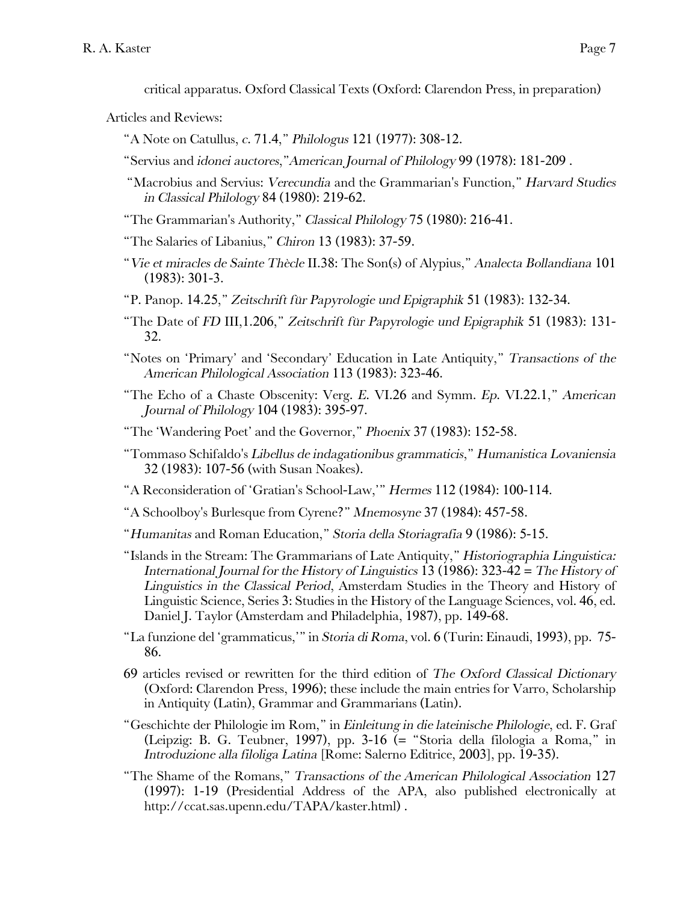Articles and Reviews:

- "A Note on Catullus, *c*. 71.4," *Philologus* 121 (1977): 308-12.
- "Servius and *idonei auctores*,"*American Journal of Philology* 99 (1978): 181-209 .
- "Macrobius and Servius: *Verecundia* and the Grammarian's Function," *Harvard Studies in Classical Philology* 84 (1980): 219-62.
- "The Grammarian's Authority," *Classical Philology* 75 (1980): 216-41.
- "The Salaries of Libanius," *Chiron* 13 (1983): 37-59.
- "*Vie et miracles de Sainte Thècle* II.38: The Son(s) of Alypius," *Analecta Bollandiana* 101 (1983): 301-3.
- "P. Panop. 14.25," *Zeitschrift für Papyrologie und Epigraphik* 51 (1983): 132-34.
- "The Date of *FD* III,1.206," *Zeitschrift für Papyrologie und Epigraphik* 51 (1983): 131- 32.
- "Notes on 'Primary' and 'Secondary' Education in Late Antiquity," *Transactions of the American Philological Association* 113 (1983): 323-46.
- "The Echo of a Chaste Obscenity: Verg. *E*. VI.26 and Symm. *Ep*. VI.22.1," *American Journal of Philology* 104 (1983): 395-97.
- "The 'Wandering Poet' and the Governor," *Phoenix* 37 (1983): 152-58.
- "Tommaso Schifaldo's *Libellus de indagationibus grammaticis*," *Humanistica Lovaniensia*  32 (1983): 107-56 (with Susan Noakes).
- "A Reconsideration of 'Gratian's School-Law,'" *Hermes* 112 (1984): 100-114.
- "A Schoolboy's Burlesque from Cyrene?" *Mnemosyne* 37 (1984): 457-58.
- "*Humanitas* and Roman Education," *Storia della Storiagrafia* 9 (1986): 5-15.
- "Islands in the Stream: The Grammarians of Late Antiquity," *Historiographia Linguistica: International Journal for the History of Linguistics* 13 (1986): 323-42 = *The History of Linguistics in the Classical Period*, Amsterdam Studies in the Theory and History of Linguistic Science, Series 3: Studies in the History of the Language Sciences, vol. 46, ed. Daniel J. Taylor (Amsterdam and Philadelphia, 1987), pp. 149-68.
- "La funzione del 'grammaticus,'" in *Storia di Roma*, vol. 6 (Turin: Einaudi, 1993), pp. 75- 86.
- 69 articles revised or rewritten for the third edition of *The Oxford Classical Dictionary* (Oxford: Clarendon Press, 1996); these include the main entries for Varro, Scholarship in Antiquity (Latin), Grammar and Grammarians (Latin).
- "Geschichte der Philologie im Rom," in *Einleitung in die lateinische Philologie*, ed. F. Graf (Leipzig: B. G. Teubner, 1997), pp. 3-16 (= "Storia della filologia a Roma," in *Introduzione alla filoliga Latina* [Rome: Salerno Editrice, 2003], pp. 19-35).
- "The Shame of the Romans," *Transactions of the American Philological Association* 127 (1997): 1-19 (Presidential Address of the APA, also published electronically at http://ccat.sas.upenn.edu/TAPA/kaster.html) .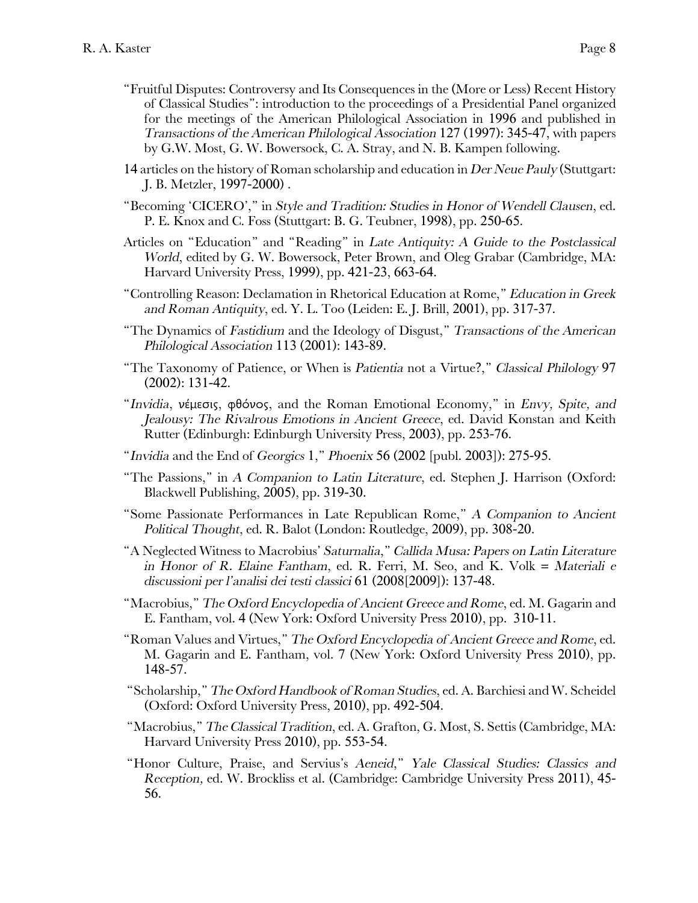- "Fruitful Disputes: Controversy and Its Consequences in the (More or Less) Recent History of Classical Studies": introduction to the proceedings of a Presidential Panel organized for the meetings of the American Philological Association in 1996 and published in *Transactions of the American Philological Association* 127 (1997): 345-47, with papers by G.W. Most, G. W. Bowersock, C. A. Stray, and N. B. Kampen following.
- 14 articles on the history of Roman scholarship and education in *Der Neue Pauly* (Stuttgart: J. B. Metzler, 1997-2000) .
- "Becoming 'CICERO'," in *Style and Tradition: Studies in Honor of Wendell Clausen*, ed. P. E. Knox and C. Foss (Stuttgart: B. G. Teubner, 1998), pp. 250-65.
- Articles on "Education" and "Reading" in *Late Antiquity: A Guide to the Postclassical World*, edited by G. W. Bowersock, Peter Brown, and Oleg Grabar (Cambridge, MA: Harvard University Press, 1999), pp. 421-23, 663-64.
- "Controlling Reason: Declamation in Rhetorical Education at Rome," *Education in Greek and Roman Antiquity*, ed. Y. L. Too (Leiden: E. J. Brill, 2001), pp. 317-37.
- "The Dynamics of *Fastidium* and the Ideology of Disgust," *Transactions of the American Philological Association* 113 (2001): 143-89.
- "The Taxonomy of Patience, or When is *Patientia* not a Virtue?," *Classical Philology* 97 (2002): 131-42.
- "*Invidia*, νέμεσις, φθόνος, and the Roman Emotional Economy," in *Envy, Spite, and Jealousy: The Rivalrous Emotions in Ancient Greece*, ed. David Konstan and Keith Rutter (Edinburgh: Edinburgh University Press, 2003), pp. 253-76.
- "*Invidia* and the End of *Georgics* 1," *Phoenix* 56 (2002 [publ. 2003]): 275-95.
- "The Passions," in *A Companion to Latin Literature*, ed. Stephen J. Harrison (Oxford: Blackwell Publishing, 2005), pp. 319-30.
- "Some Passionate Performances in Late Republican Rome," *A Companion to Ancient Political Thought*, ed. R. Balot (London: Routledge, 2009), pp. 308-20.
- "A Neglected Witness to Macrobius' *Saturnalia*," *Callida Musa: Papers on Latin Literature in Honor of R. Elaine Fantham*, ed. R. Ferri, M. Seo, and K. Volk = *Materiali e discussioni per l'analisi dei testi classici* 61 (2008[2009]): 137-48.
- "Macrobius," *The Oxford Encyclopedia of Ancient Greece and Rome*, ed. M. Gagarin and E. Fantham, vol. 4 (New York: Oxford University Press 2010), pp. 310-11.
- "Roman Values and Virtues," *The Oxford Encyclopedia of Ancient Greece and Rome*, ed. M. Gagarin and E. Fantham, vol. 7 (New York: Oxford University Press 2010), pp. 148-57.
- "Scholarship," *The Oxford Handbook of Roman Studies*, ed. A. Barchiesi and W. Scheidel (Oxford: Oxford University Press, 2010), pp. 492-504.
- "Macrobius," *The Classical Tradition*, ed. A. Grafton, G. Most, S. Settis (Cambridge, MA: Harvard University Press 2010), pp. 553-54.
- "Honor Culture, Praise, and Servius's *Aeneid*," *Yale Classical Studies: Classics and Reception,* ed. W. Brockliss et al. (Cambridge: Cambridge University Press 2011), 45- 56.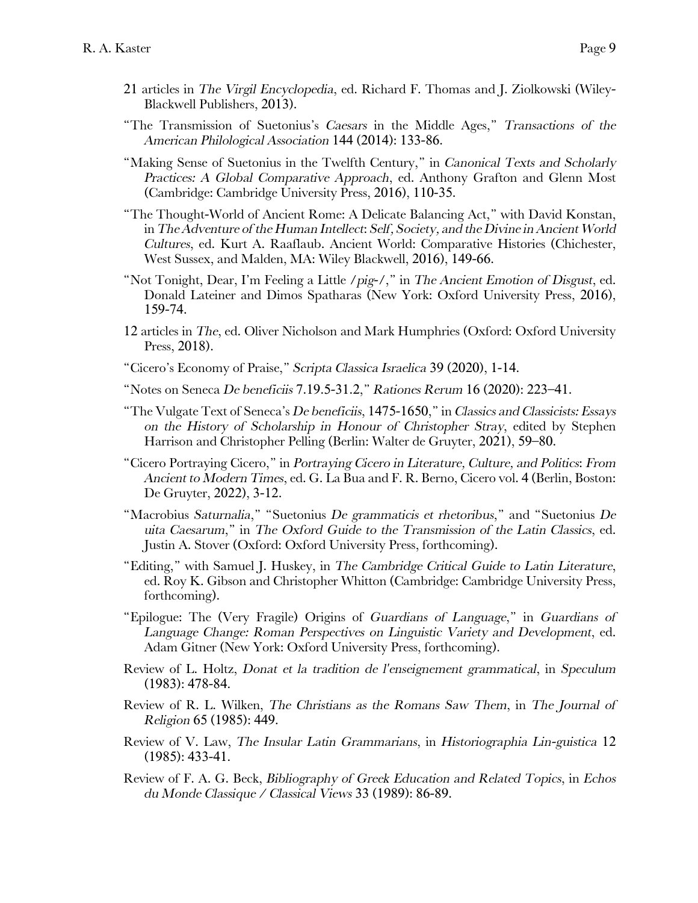- 21 articles in *The Virgil Encyclopedia*, ed. Richard F. Thomas and J. Ziolkowski (Wiley-Blackwell Publishers, 2013).
- "The Transmission of Suetonius's *Caesars* in the Middle Ages," *Transactions of the American Philological Association* 144 (2014): 133-86.
- "Making Sense of Suetonius in the Twelfth Century," in *Canonical Texts and Scholarly Practices: A Global Comparative Approach*, ed. Anthony Grafton and Glenn Most (Cambridge: Cambridge University Press, 2016), 110-35.
- "The Thought-World of Ancient Rome: A Delicate Balancing Act," with David Konstan, in *The Adventure of the Human Intellect*: *Self, Society, and the Divine in Ancient World Cultures*, ed. Kurt A. Raaflaub. Ancient World: Comparative Histories (Chichester, West Sussex, and Malden, MA: Wiley Blackwell, 2016), 149-66.
- "Not Tonight, Dear, I'm Feeling a Little /*pig*-/," in *The Ancient Emotion of Disgust*, ed. Donald Lateiner and Dimos Spatharas (New York: Oxford University Press, 2016), 159-74.
- 12 articles in *The*, ed. Oliver Nicholson and Mark Humphries (Oxford: Oxford University Press, 2018).
- "Cicero's Economy of Praise," *Scripta Classica Israelica* 39 (2020), 1-14.
- "Notes on Seneca *De beneficiis* 7.19.5-31.2," *Rationes Rerum* 16 (2020): 223–41.
- "The Vulgate Text of Seneca's *De beneficiis*, 1475-1650," in *Classics and Classicists: Essays on the History of Scholarship in Honour of Christopher Stray*, edited by Stephen Harrison and Christopher Pelling (Berlin: Walter de Gruyter, 2021), 59–80.
- "Cicero Portraying Cicero," in *Portraying Cicero in Literature, Culture, and Politics*: *From Ancient to Modern Times*, ed. G. La Bua and F. R. Berno, Cicero vol. 4 (Berlin, Boston: De Gruyter, 2022), 3-12.
- "Macrobius *Saturnalia*," "Suetonius *De grammaticis et rhetoribus*," and "Suetonius *De uita Caesarum*," in *The Oxford Guide to the Transmission of the Latin Classics*, ed. Justin A. Stover (Oxford: Oxford University Press, forthcoming).
- "Editing," with Samuel J. Huskey, in *The Cambridge Critical Guide to Latin Literature*, ed. Roy K. Gibson and Christopher Whitton (Cambridge: Cambridge University Press, forthcoming).
- "Epilogue: The (Very Fragile) Origins of *Guardians of Language*," in *Guardians of Language Change: Roman Perspectives on Linguistic Variety and Development*, ed. Adam Gitner (New York: Oxford University Press, forthcoming).
- Review of L. Holtz, *Donat et la tradition de l'enseignement grammatical*, in *Speculum* (1983): 478-84.
- Review of R. L. Wilken, *The Christians as the Romans Saw Them*, in *The Journal of Religion* 65 (1985): 449.
- Review of V. Law, *The Insular Latin Grammarians*, in *Historiographia Lin-guistica* 12 (1985): 433-41.
- Review of F. A. G. Beck, *Bibliography of Greek Education and Related Topics*, in *Echos du Monde Classique / Classical Views* 33 (1989): 86-89.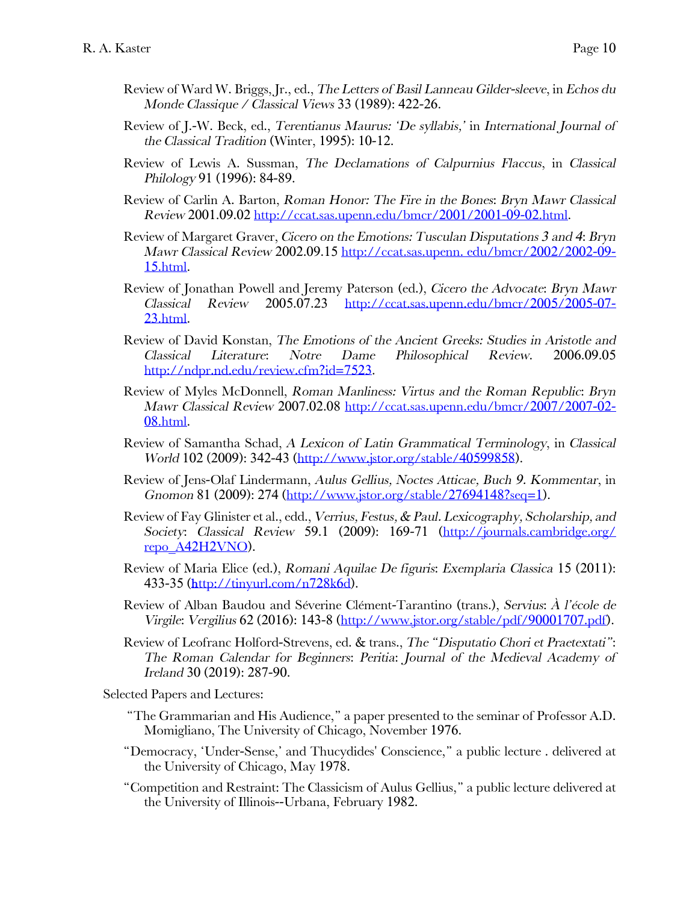- Review of Ward W. Briggs, Jr., ed., *The Letters of Basil Lanneau Gilder-sleeve*, in *Echos du Monde Classique / Classical Views* 33 (1989): 422-26.
- Review of J.-W. Beck, ed., *Terentianus Maurus: 'De syllabis,'* in *International Journal of the Classical Tradition* (Winter, 1995): 10-12.
- Review of Lewis A. Sussman, *The Declamations of Calpurnius Flaccus*, in *Classical Philology* 91 (1996): 84-89.
- Review of Carlin A. Barton, *Roman Honor: The Fire in the Bones*: *Bryn Mawr Classical Review* 2001.09.02 http://ccat.sas.upenn.edu/bmcr/2001/2001-09-02.html.
- Review of Margaret Graver, *Cicero on the Emotions: Tusculan Disputations 3 and 4*: *Bryn Mawr Classical Review* 2002.09.15 http://ccat.sas.upenn. edu/bmcr/2002/2002-09- 15.html.
- Review of Jonathan Powell and Jeremy Paterson (ed.), *Cicero the Advocate*: *Bryn Mawr Classical Review* 2005.07.23 http://ccat.sas.upenn.edu/bmcr/2005/2005-07- 23.html.
- Review of David Konstan, *The Emotions of the Ancient Greeks: Studies in Aristotle and Classical Literature*: *Notre Dame Philosophical Review*. 2006.09.05 http://ndpr.nd.edu/review.cfm?id=7523.
- Review of Myles McDonnell, *Roman Manliness: Virtus and the Roman Republic*: *Bryn Mawr Classical Review* 2007.02.08 http://ccat.sas.upenn.edu/bmcr/2007/2007-02- 08.html.
- Review of Samantha Schad, *A Lexicon of Latin Grammatical Terminology*, in *Classical World* 102 (2009): 342-43 (http://www.jstor.org/stable/40599858).
- Review of Jens-Olaf Lindermann, *Aulus Gellius, Noctes Atticae, Buch 9. Kommentar*, in *Gnomon* 81 (2009): 274 (http://www.jstor.org/stable/27694148?seq=1).
- Review of Fay Glinister et al., edd., *Verrius, Festus, & Paul. Lexicography, Scholarship, and Society*: *Classical Review* 59.1 (2009): 169-71 (http://journals.cambridge.org/ repo\_A42H2VNO).
- Review of Maria Elice (ed.), *Romani Aquilae De figuris*: *Exemplaria Classica* 15 (2011): 433-35 (**h**ttp://tinyurl.com/n728k6d).
- Review of Alban Baudou and Séverine Clément-Tarantino (trans.), *Servius*: *À l'école de Virgile*: *Vergilius* 62 (2016): 143-8 (http://www.jstor.org/stable/pdf/90001707.pdf).
- Review of Leofranc Holford-Strevens, ed. & trans., *The "Disputatio Chori et Praetextati"*: *The Roman Calendar for Beginners*: *Peritia*: *Journal of the Medieval Academy of Ireland* 30 (2019): 287-90.

Selected Papers and Lectures:

- "The Grammarian and His Audience," a paper presented to the seminar of Professor A.D. Momigliano, The University of Chicago, November 1976.
- "Democracy, 'Under-Sense,' and Thucydides' Conscience," a public lecture . delivered at the University of Chicago, May 1978.
- "Competition and Restraint: The Classicism of Aulus Gellius," a public lecture delivered at the University of Illinois--Urbana, February 1982.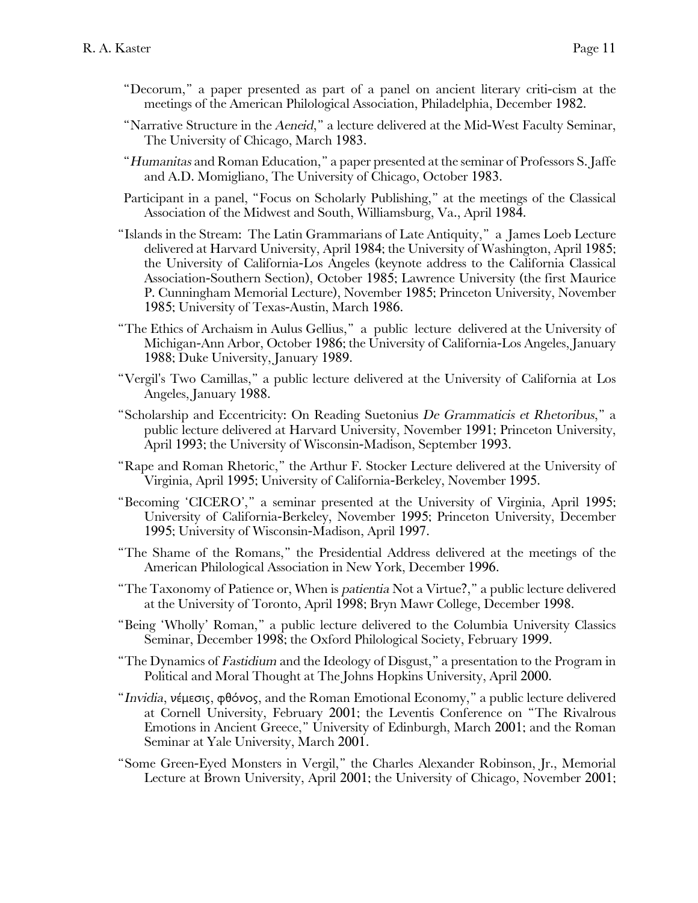- "Decorum," a paper presented as part of a panel on ancient literary criti-cism at the meetings of the American Philological Association, Philadelphia, December 1982.
- "Narrative Structure in the *Aeneid*," a lecture delivered at the Mid-West Faculty Seminar, The University of Chicago, March 1983.
- "*Humanitas* and Roman Education," a paper presented at the seminar of Professors S. Jaffe and A.D. Momigliano, The University of Chicago, October 1983.
- Participant in a panel, "Focus on Scholarly Publishing," at the meetings of the Classical Association of the Midwest and South, Williamsburg, Va., April 1984.
- "Islands in the Stream: The Latin Grammarians of Late Antiquity," a James Loeb Lecture delivered at Harvard University, April 1984; the University of Washington, April 1985; the University of California-Los Angeles (keynote address to the California Classical Association-Southern Section), October 1985; Lawrence University (the first Maurice P. Cunningham Memorial Lecture), November 1985; Princeton University, November 1985; University of Texas-Austin, March 1986.
- "The Ethics of Archaism in Aulus Gellius," a public lecture delivered at the University of Michigan-Ann Arbor, October 1986; the University of California-Los Angeles, January 1988; Duke University, January 1989.
- "Vergil's Two Camillas," a public lecture delivered at the University of California at Los Angeles, January 1988.
- "Scholarship and Eccentricity: On Reading Suetonius *De Grammaticis et Rhetoribus*," a public lecture delivered at Harvard University, November 1991; Princeton University, April 1993; the University of Wisconsin-Madison, September 1993.
- "Rape and Roman Rhetoric," the Arthur F. Stocker Lecture delivered at the University of Virginia, April 1995; University of California-Berkeley, November 1995.
- "Becoming 'CICERO'," a seminar presented at the University of Virginia, April 1995; University of California-Berkeley, November 1995; Princeton University, December 1995; University of Wisconsin-Madison, April 1997.
- "The Shame of the Romans," the Presidential Address delivered at the meetings of the American Philological Association in New York, December 1996.
- "The Taxonomy of Patience or, When is *patientia* Not a Virtue?," a public lecture delivered at the University of Toronto, April 1998; Bryn Mawr College, December 1998.
- "Being 'Wholly' Roman," a public lecture delivered to the Columbia University Classics Seminar, December 1998; the Oxford Philological Society, February 1999.
- "The Dynamics of *Fastidium* and the Ideology of Disgust," a presentation to the Program in Political and Moral Thought at The Johns Hopkins University, April 2000.
- "*Invidia*, νέμεσις, φθόνος, and the Roman Emotional Economy," a public lecture delivered at Cornell University, February 2001; the Leventis Conference on "The Rivalrous Emotions in Ancient Greece," University of Edinburgh, March 2001; and the Roman Seminar at Yale University, March 2001.
- "Some Green-Eyed Monsters in Vergil," the Charles Alexander Robinson, Jr., Memorial Lecture at Brown University, April 2001; the University of Chicago, November 2001;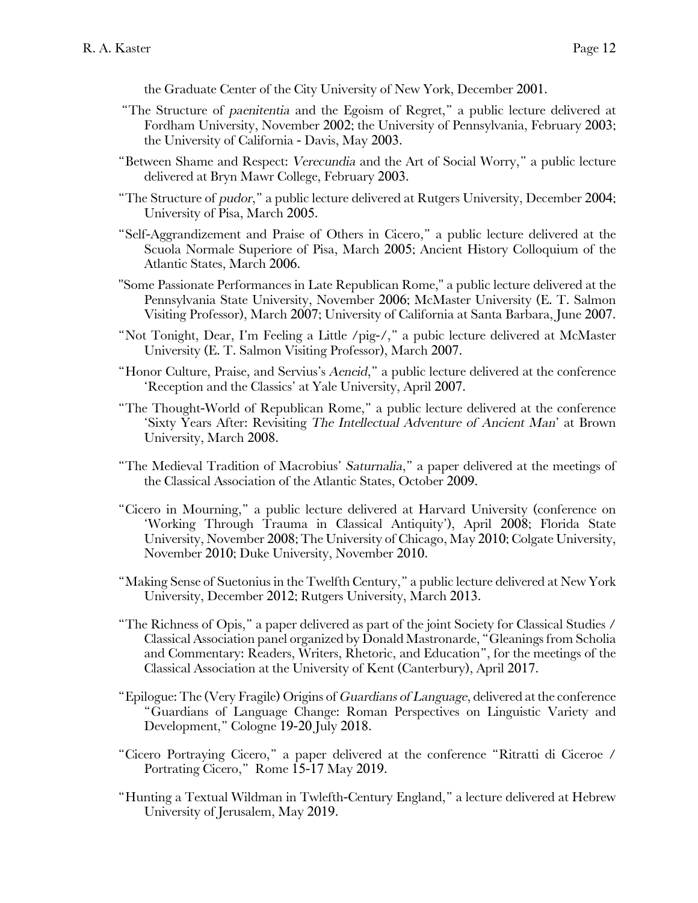the Graduate Center of the City University of New York, December 2001.

- "The Structure of *paenitentia* and the Egoism of Regret," a public lecture delivered at Fordham University, November 2002; the University of Pennsylvania, February 2003; the University of California - Davis, May 2003.
- "Between Shame and Respect: *Verecundia* and the Art of Social Worry," a public lecture delivered at Bryn Mawr College, February 2003.
- "The Structure of *pudor*," a public lecture delivered at Rutgers University, December 2004; University of Pisa, March 2005.
- "Self-Aggrandizement and Praise of Others in Cicero," a public lecture delivered at the Scuola Normale Superiore of Pisa, March 2005; Ancient History Colloquium of the Atlantic States, March 2006.
- "Some Passionate Performances in Late Republican Rome," a public lecture delivered at the Pennsylvania State University, November 2006; McMaster University (E. T. Salmon Visiting Professor), March 2007; University of California at Santa Barbara, June 2007.
- "Not Tonight, Dear, I'm Feeling a Little /pig-/," a pubic lecture delivered at McMaster University (E. T. Salmon Visiting Professor), March 2007.
- "Honor Culture, Praise, and Servius's *Aeneid*," a public lecture delivered at the conference 'Reception and the Classics' at Yale University, April 2007.
- "The Thought-World of Republican Rome," a public lecture delivered at the conference 'Sixty Years After: Revisiting *The Intellectual Adventure of Ancient Man*' at Brown University, March 2008.
- "The Medieval Tradition of Macrobius' *Saturnalia*," a paper delivered at the meetings of the Classical Association of the Atlantic States, October 2009.
- "Cicero in Mourning," a public lecture delivered at Harvard University (conference on 'Working Through Trauma in Classical Antiquity'), April 2008; Florida State University, November 2008; The University of Chicago, May 2010; Colgate University, November 2010; Duke University, November 2010.
- "Making Sense of Suetonius in the Twelfth Century," a public lecture delivered at New York University, December 2012; Rutgers University, March 2013.
- "The Richness of Opis," a paper delivered as part of the joint Society for Classical Studies / Classical Association panel organized by Donald Mastronarde, "Gleanings from Scholia and Commentary: Readers, Writers, Rhetoric, and Education", for the meetings of the Classical Association at the University of Kent (Canterbury), April 2017.
- "Epilogue: The (Very Fragile) Origins of *Guardians of Language*, delivered at the conference "Guardians of Language Change: Roman Perspectives on Linguistic Variety and Development," Cologne 19-20 July 2018.
- "Cicero Portraying Cicero," a paper delivered at the conference "Ritratti di Ciceroe / Portrating Cicero," Rome 15-17 May 2019.
- "Hunting a Textual Wildman in Twlefth-Century England," a lecture delivered at Hebrew University of Jerusalem, May 2019.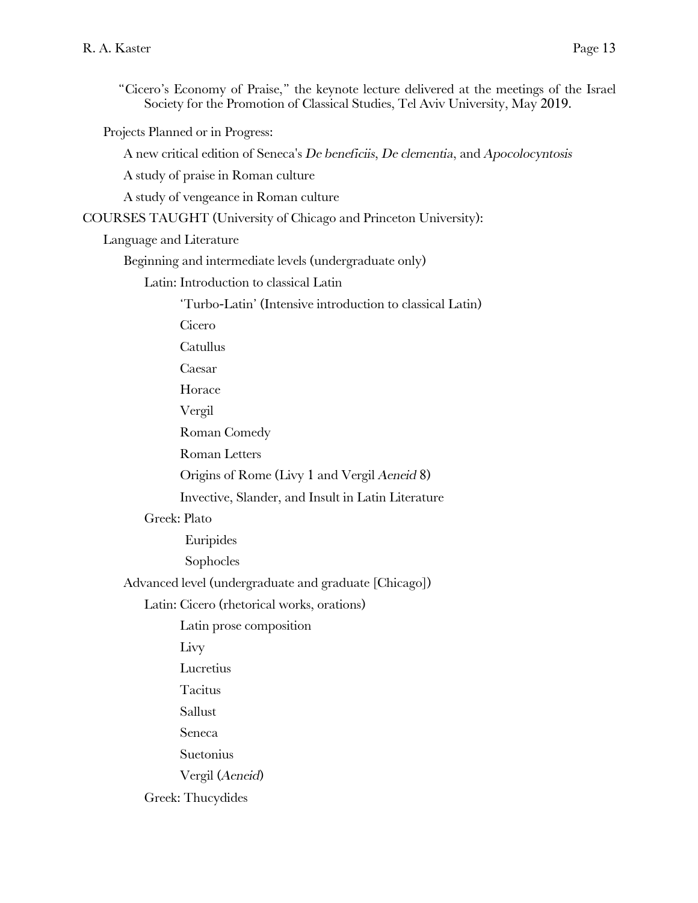"Cicero's Economy of Praise," the keynote lecture delivered at the meetings of the Israel Society for the Promotion of Classical Studies, Tel Aviv University, May 2019.

Projects Planned or in Progress:

A new critical edition of Seneca's *De beneficiis*, *De clementia*, and *Apocolocyntosis*

A study of praise in Roman culture

A study of vengeance in Roman culture

COURSES TAUGHT (University of Chicago and Princeton University):

Language and Literature

Beginning and intermediate levels (undergraduate only)

Latin: Introduction to classical Latin

'Turbo-Latin' (Intensive introduction to classical Latin)

Cicero

**Catullus** 

Caesar

Horace

Vergil

Roman Comedy

Roman Letters

Origins of Rome (Livy 1 and Vergil *Aeneid* 8)

Invective, Slander, and Insult in Latin Literature

Greek: Plato

Euripides

Sophocles

Advanced level (undergraduate and graduate [Chicago])

Latin: Cicero (rhetorical works, orations)

Latin prose composition

Livy

Lucretius

Tacitus

Sallust

Seneca

Suetonius

Vergil (*Aeneid*)

Greek: Thucydides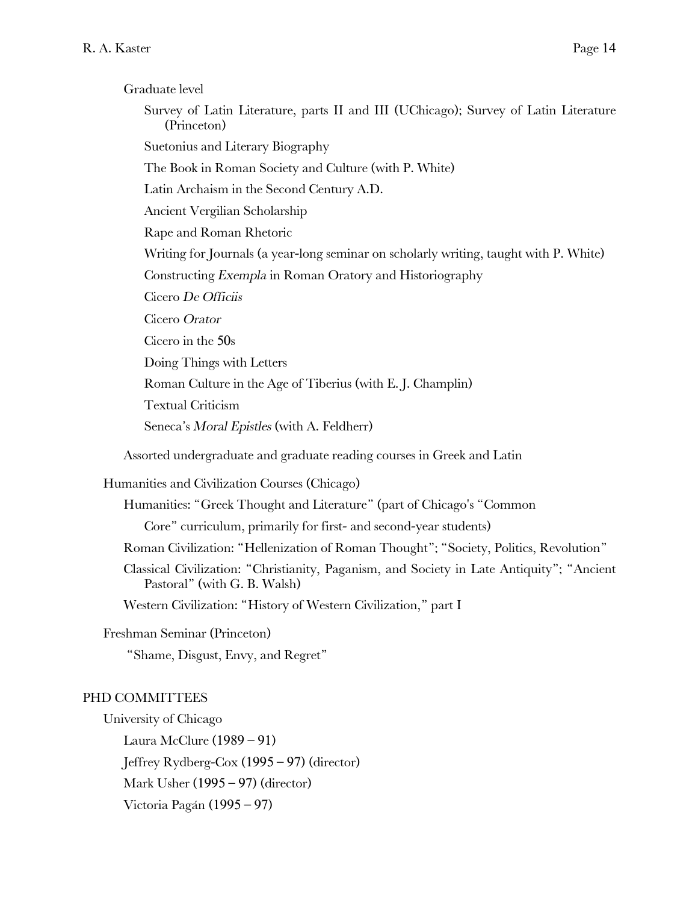Graduate level Survey of Latin Literature, parts II and III (UChicago); Survey of Latin Literature (Princeton) Suetonius and Literary Biography The Book in Roman Society and Culture (with P. White) Latin Archaism in the Second Century A.D. Ancient Vergilian Scholarship Rape and Roman Rhetoric Writing for Journals (a year-long seminar on scholarly writing, taught with P. White) Constructing *Exempla* in Roman Oratory and Historiography Cicero *De Officiis* Cicero *Orator* Cicero in the 50s Doing Things with Letters Roman Culture in the Age of Tiberius (with E. J. Champlin) Textual Criticism Seneca's *Moral Epistles* (with A. Feldherr) Assorted undergraduate and graduate reading courses in Greek and Latin Humanities and Civilization Courses (Chicago) Humanities: "Greek Thought and Literature" (part of Chicago's "Common Core" curriculum, primarily for first- and second-year students) Roman Civilization: "Hellenization of Roman Thought"; "Society, Politics, Revolution" Classical Civilization: "Christianity, Paganism, and Society in Late Antiquity"; "Ancient Pastoral" (with G. B. Walsh)

Western Civilization: "History of Western Civilization," part I

Freshman Seminar (Princeton)

"Shame, Disgust, Envy, and Regret"

#### PHD COMMITTEES

University of Chicago Laura McClure (1989 – 91) Jeffrey Rydberg-Cox (1995 – 97) (director) Mark Usher (1995 – 97) (director) Victoria Pagán (1995 – 97)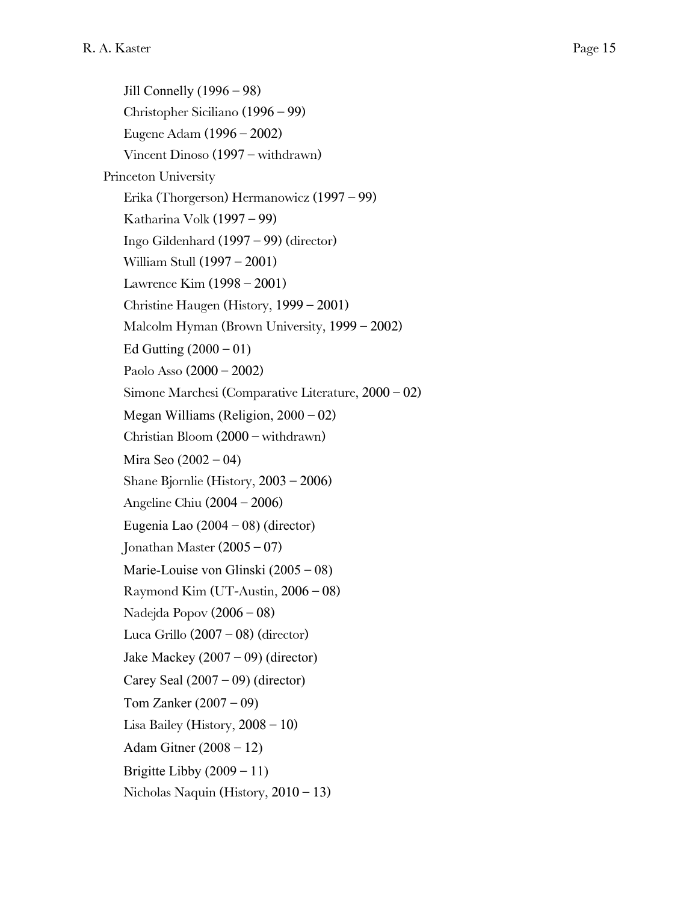Jill Connelly (1996 – 98) Christopher Siciliano (1996 – 99) Eugene Adam (1996 – 2002) Vincent Dinoso (1997 – withdrawn) Princeton University Erika (Thorgerson) Hermanowicz (1997 – 99) Katharina Volk (1997 – 99) Ingo Gildenhard (1997 – 99) (director) William Stull (1997 – 2001) Lawrence Kim (1998 – 2001) Christine Haugen (History, 1999 – 2001) Malcolm Hyman (Brown University, 1999 – 2002) Ed Gutting  $(2000 - 01)$ Paolo Asso (2000 – 2002) Simone Marchesi (Comparative Literature, 2000 – 02) Megan Williams (Religion, 2000 – 02) Christian Bloom (2000 – withdrawn) Mira Seo (2002 – 04) Shane Bjornlie (History, 2003 – 2006) Angeline Chiu (2004 – 2006) Eugenia Lao (2004 – 08) (director) Jonathan Master  $(2005 - 07)$ Marie-Louise von Glinski (2005 – 08) Raymond Kim (UT-Austin, 2006 – 08) Nadejda Popov (2006 – 08) Luca Grillo  $(2007 - 08)$  (director) Jake Mackey  $(2007 - 09)$  (director) Carey Seal  $(2007 - 09)$  (director) Tom Zanker (2007 – 09) Lisa Bailey (History,  $2008 - 10$ ) Adam Gitner  $(2008 - 12)$ Brigitte Libby  $(2009 - 11)$ Nicholas Naquin (History, 2010 – 13)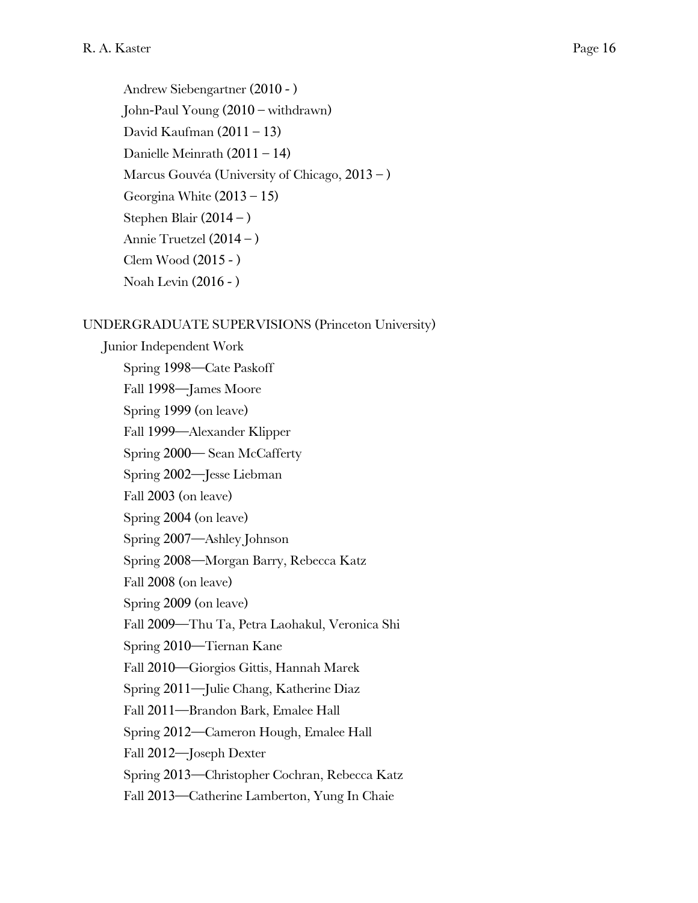Andrew Siebengartner (2010 - ) John-Paul Young (2010 – withdrawn) David Kaufman  $(2011 - 13)$ Danielle Meinrath (2011 – 14) Marcus Gouvéa (University of Chicago, 2013 – ) Georgina White (2013 – 15) Stephen Blair  $(2014 - )$ Annie Truetzel (2014 – ) Clem Wood (2015 - ) Noah Levin (2016 - )

# UNDERGRADUATE SUPERVISIONS (Princeton University)

Junior Independent Work Spring 1998—Cate Paskoff Fall 1998—James Moore Spring 1999 (on leave) Fall 1999—Alexander Klipper Spring 2000— Sean McCafferty Spring 2002—Jesse Liebman Fall 2003 (on leave) Spring 2004 (on leave) Spring 2007—Ashley Johnson Spring 2008—Morgan Barry, Rebecca Katz Fall 2008 (on leave) Spring 2009 (on leave) Fall 2009—Thu Ta, Petra Laohakul, Veronica Shi Spring 2010—Tiernan Kane Fall 2010—Giorgios Gittis, Hannah Marek Spring 2011—Julie Chang, Katherine Diaz Fall 2011—Brandon Bark, Emalee Hall Spring 2012—Cameron Hough, Emalee Hall Fall 2012—Joseph Dexter Spring 2013—Christopher Cochran, Rebecca Katz Fall 2013—Catherine Lamberton, Yung In Chaie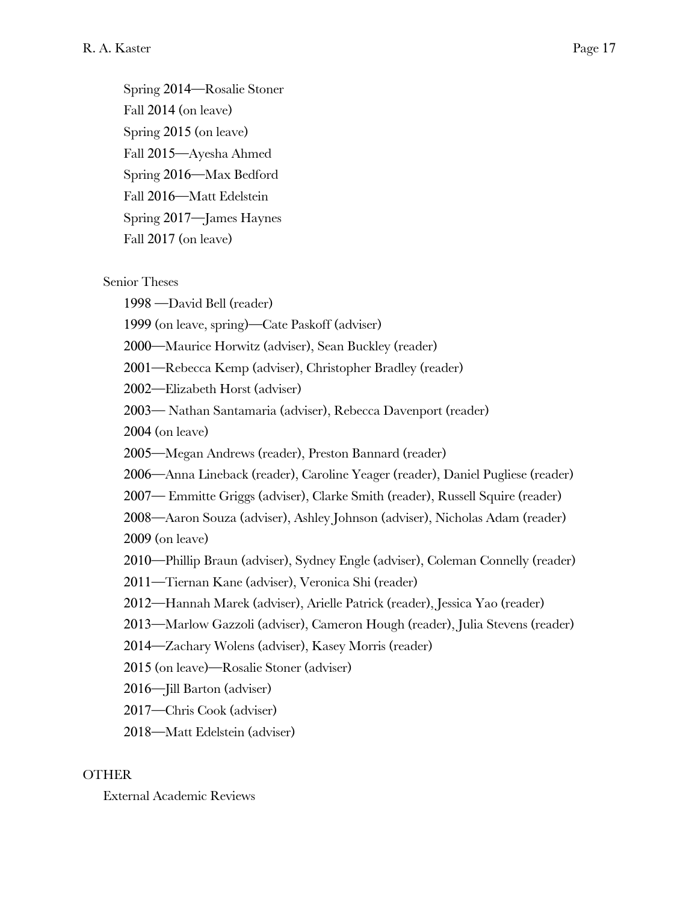Spring 2014—Rosalie Stoner Fall 2014 (on leave) Spring 2015 (on leave) Fall 2015—Ayesha Ahmed Spring 2016—Max Bedford Fall 2016—Matt Edelstein Spring 2017—James Haynes Fall 2017 (on leave)

Senior Theses

1998 —David Bell (reader)

1999 (on leave, spring)—Cate Paskoff (adviser)

2000—Maurice Horwitz (adviser), Sean Buckley (reader)

2001—Rebecca Kemp (adviser), Christopher Bradley (reader)

2002—Elizabeth Horst (adviser)

2003— Nathan Santamaria (adviser), Rebecca Davenport (reader)

2004 (on leave)

2005—Megan Andrews (reader), Preston Bannard (reader)

2006—Anna Lineback (reader), Caroline Yeager (reader), Daniel Pugliese (reader)

2007— Emmitte Griggs (adviser), Clarke Smith (reader), Russell Squire (reader)

2008—Aaron Souza (adviser), Ashley Johnson (adviser), Nicholas Adam (reader)

2009 (on leave)

2010—Phillip Braun (adviser), Sydney Engle (adviser), Coleman Connelly (reader)

2011—Tiernan Kane (adviser), Veronica Shi (reader)

2012—Hannah Marek (adviser), Arielle Patrick (reader), Jessica Yao (reader)

2013—Marlow Gazzoli (adviser), Cameron Hough (reader), Julia Stevens (reader)

2014—Zachary Wolens (adviser), Kasey Morris (reader)

2015 (on leave)—Rosalie Stoner (adviser)

2016—Jill Barton (adviser)

2017—Chris Cook (adviser)

2018—Matt Edelstein (adviser)

# **OTHER**

External Academic Reviews